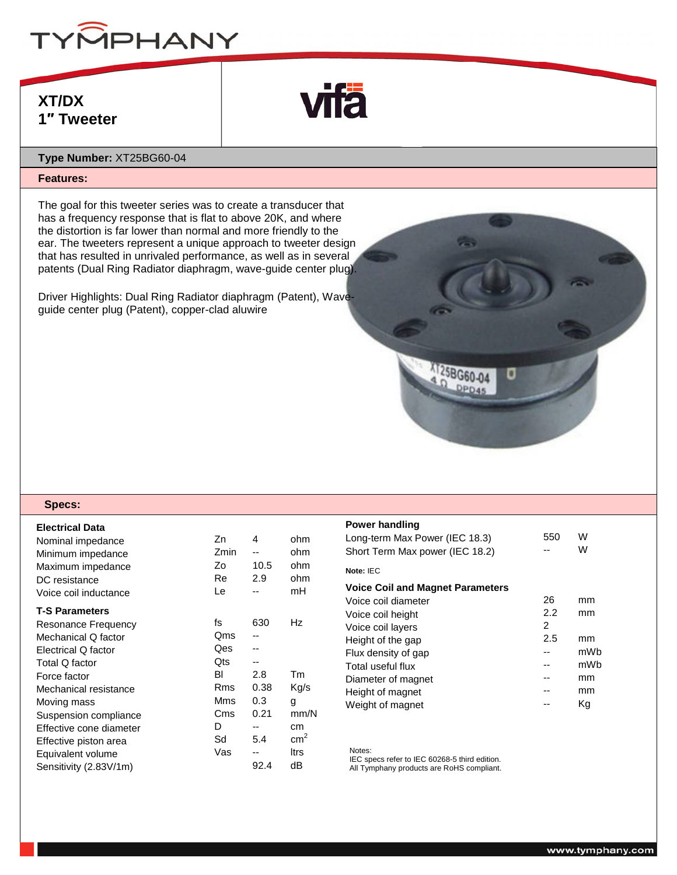

# **XT/DX 1″ Tweeter**



## **Type Number:** XT25BG60-04

### **Features:**

The goal for this tweeter series was to create a transducer that has a frequency response that is flat to above 20K, and where the distortion is far lower than normal and more friendly to the ear. The tweeters represent a unique approach to tweeter design that has resulted in unrivaled performance, as well as in several patents (Dual Ring Radiator diaphragm, wave-guide center plug).

Driver Highlights: Dual Ring Radiator diaphragm (Patent), Waveguide center plug (Patent), copper-clad aluwire

#### **Specs:**

| <b>Electrical Data</b><br>Nominal impedance<br>Minimum impedance<br>Maximum impedance<br>DC resistance<br>Voice coil inductance | Zn<br>Zmin<br>Ζo<br>Re<br>Le | 4<br>--<br>10.5<br>2.9 | ohm<br>ohm<br>ohm<br>ohm<br>mH |
|---------------------------------------------------------------------------------------------------------------------------------|------------------------------|------------------------|--------------------------------|
| <b>T-S Parameters</b>                                                                                                           |                              |                        |                                |
| <b>Resonance Frequency</b>                                                                                                      | fs                           | 630                    | Hz                             |
| Mechanical Q factor                                                                                                             | Qms                          | --                     |                                |
| Electrical Q factor                                                                                                             | Qes                          |                        |                                |
| Total Q factor                                                                                                                  | <b>Ots</b>                   |                        |                                |
| Force factor                                                                                                                    | BI                           | 2.8                    | Tm                             |
| Mechanical resistance                                                                                                           | Rms                          | 0.38                   | Kg/s                           |
| Moving mass                                                                                                                     | Mms                          | 0.3                    | g                              |
| Suspension compliance                                                                                                           | Cms                          | 0.21                   | mm/N                           |
| Effective cone diameter                                                                                                         | D                            |                        | cm                             |
| Effective piston area                                                                                                           | Sd                           | 5.4                    | $\text{cm}^2$                  |
| Equivalent volume                                                                                                               | Vas                          | --                     | ltrs                           |
| Sensitivity (2.83V/1m)                                                                                                          |                              | 92.4                   | dB                             |

#### **Power handling**

| 550 | W<br>W |
|-----|--------|
|     |        |
|     |        |
| 26  | mm     |
| 2.2 | mm     |
| 2   |        |
| 2.5 | mm     |
| --  | mWh    |
|     | mWb    |
|     | mm     |
|     | mm     |
|     | Κg     |
|     |        |

25BG60-04 DPD45

Notes:

IEC specs refer to IEC 60268-5 third edition.

All Tymphany products are RoHS compliant.